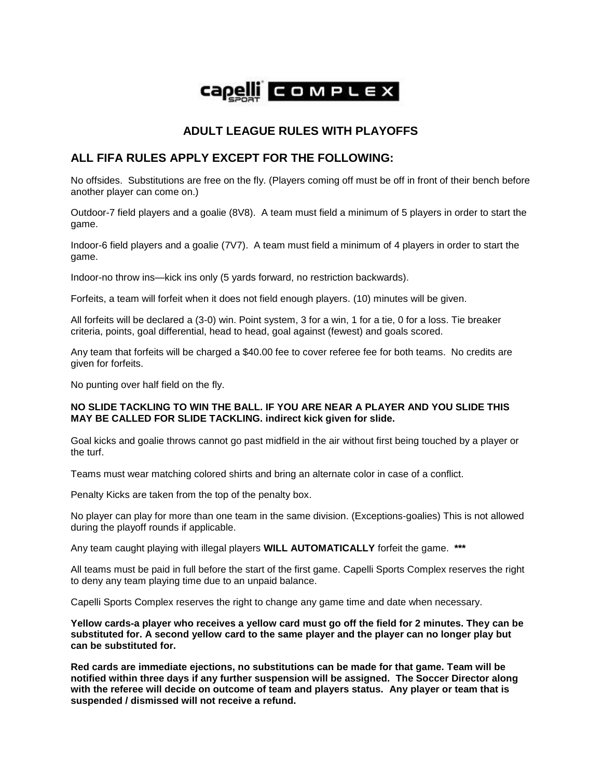

## **ADULT LEAGUE RULES WITH PLAYOFFS**

## **ALL FIFA RULES APPLY EXCEPT FOR THE FOLLOWING:**

No offsides. Substitutions are free on the fly. (Players coming off must be off in front of their bench before another player can come on.)

Outdoor-7 field players and a goalie (8V8). A team must field a minimum of 5 players in order to start the game.

Indoor-6 field players and a goalie (7V7). A team must field a minimum of 4 players in order to start the game.

Indoor-no throw ins—kick ins only (5 yards forward, no restriction backwards).

Forfeits, a team will forfeit when it does not field enough players. (10) minutes will be given.

All forfeits will be declared a (3-0) win. Point system, 3 for a win, 1 for a tie, 0 for a loss. Tie breaker criteria, points, goal differential, head to head, goal against (fewest) and goals scored.

Any team that forfeits will be charged a \$40.00 fee to cover referee fee for both teams. No credits are given for forfeits.

No punting over half field on the fly.

## **NO SLIDE TACKLING TO WIN THE BALL. IF YOU ARE NEAR A PLAYER AND YOU SLIDE THIS MAY BE CALLED FOR SLIDE TACKLING. indirect kick given for slide.**

Goal kicks and goalie throws cannot go past midfield in the air without first being touched by a player or the turf.

Teams must wear matching colored shirts and bring an alternate color in case of a conflict.

Penalty Kicks are taken from the top of the penalty box.

No player can play for more than one team in the same division. (Exceptions-goalies) This is not allowed during the playoff rounds if applicable.

Any team caught playing with illegal players **WILL AUTOMATICALLY** forfeit the game. **\*\*\*** 

All teams must be paid in full before the start of the first game. Capelli Sports Complex reserves the right to deny any team playing time due to an unpaid balance.

Capelli Sports Complex reserves the right to change any game time and date when necessary.

**Yellow cards-a player who receives a yellow card must go off the field for 2 minutes. They can be substituted for. A second yellow card to the same player and the player can no longer play but can be substituted for.**

**Red cards are immediate ejections, no substitutions can be made for that game. Team will be notified within three days if any further suspension will be assigned. The Soccer Director along with the referee will decide on outcome of team and players status. Any player or team that is suspended / dismissed will not receive a refund.**